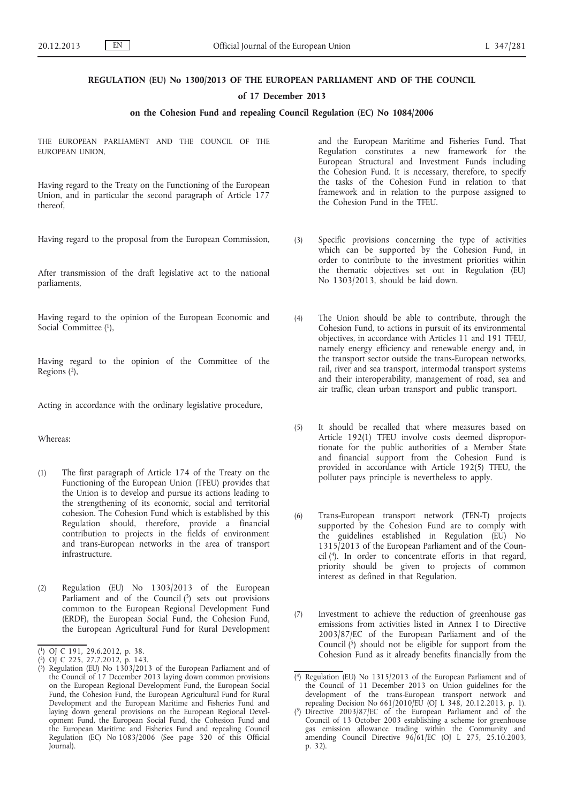## **REGULATION (EU) No 1300/2013 OF THE EUROPEAN PARLIAMENT AND OF THE COUNCIL**

#### **of 17 December 2013**

## **on the Cohesion Fund and repealing Council Regulation (EC) No 1084/2006**

THE EUROPEAN PARLIAMENT AND THE COUNCIL OF THE EUROPEAN UNION,

Having regard to the Treaty on the Functioning of the European Union, and in particular the second paragraph of Article 177 thereof,

Having regard to the proposal from the European Commission,

After transmission of the draft legislative act to the national parliaments,

Having regard to the opinion of the European Economic and Social Committee (1),

Having regard to the opinion of the Committee of the Regions (2),

Acting in accordance with the ordinary legislative procedure,

## Whereas:

- (1) The first paragraph of Article 174 of the Treaty on the Functioning of the European Union (TFEU) provides that the Union is to develop and pursue its actions leading to the strengthening of its economic, social and territorial cohesion. The Cohesion Fund which is established by this Regulation should, therefore, provide a financial contribution to projects in the fields of environment and trans-European networks in the area of transport infrastructure.
- (2) Regulation (EU) No 1303/2013 of the European Parliament and of the Council (3) sets out provisions common to the European Regional Development Fund (ERDF), the European Social Fund, the Cohesion Fund, the European Agricultural Fund for Rural Development

and the European Maritime and Fisheries Fund. That Regulation constitutes a new framework for the European Structural and Investment Funds including the Cohesion Fund. It is necessary, therefore, to specify the tasks of the Cohesion Fund in relation to that framework and in relation to the purpose assigned to the Cohesion Fund in the TFEU.

- (3) Specific provisions concerning the type of activities which can be supported by the Cohesion Fund, in order to contribute to the investment priorities within the thematic objectives set out in Regulation (EU) No 1303/2013, should be laid down.
- (4) The Union should be able to contribute, through the Cohesion Fund, to actions in pursuit of its environmental objectives, in accordance with Articles 11 and 191 TFEU, namely energy efficiency and renewable energy and, in the transport sector outside the trans-European networks, rail, river and sea transport, intermodal transport systems and their interoperability, management of road, sea and air traffic, clean urban transport and public transport.
- (5) It should be recalled that where measures based on Article 192(1) TFEU involve costs deemed disproportionate for the public authorities of a Member State and financial support from the Cohesion Fund is provided in accordance with Article 192(5) TFEU, the polluter pays principle is nevertheless to apply.
- (6) Trans-European transport network (TEN-T) projects supported by the Cohesion Fund are to comply with the guidelines established in Regulation (EU) No 1315/2013 of the European Parliament and of the Council (4). In order to concentrate efforts in that regard, priority should be given to projects of common interest as defined in that Regulation.
- (7) Investment to achieve the reduction of greenhouse gas emissions from activities listed in Annex I to Directive 2003/87/EC of the European Parliament and of the Council  $(5)$  should not be eligible for support from the Cohesion Fund as it already benefits financially from the

<sup>(</sup> 1) OJ C 191, 29.6.2012, p. 38.

<sup>(</sup> 2) OJ C 225, 27.7.2012, p. 143.

<sup>(</sup> 3) Regulation (EU) No 1303/2013 of the European Parliament and of the Council of 17 December 2013 laying down common provisions on the European Regional Development Fund, the European Social Fund, the Cohesion Fund, the European Agricultural Fund for Rural Development and the European Maritime and Fisheries Fund and laying down general provisions on the European Regional Development Fund, the European Social Fund, the Cohesion Fund and the European Maritime and Fisheries Fund and repealing Council Regulation (EC) No 1083/2006 (See page 320 of this Official Journal).

<sup>(</sup> 4) Regulation (EU) No 1315/2013 of the European Parliament and of the Council of 11 December 2013 on Union guidelines for the development of the trans-European transport network and repealing Decision No 661/2010/EU (OJ L 348, 20.12.2013, p. 1).

<sup>(</sup> 5) Directive 2003/87/EC of the European Parliament and of the Council of 13 October 2003 establishing a scheme for greenhouse gas emission allowance trading within the Community and amending Council Directive 96/61/EC (OJ L 275, 25.10.2003, p. 32).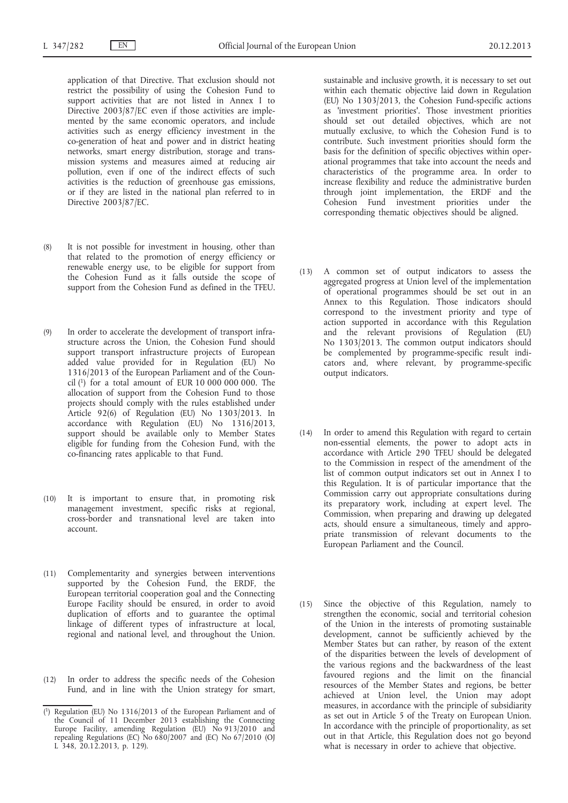application of that Directive. That exclusion should not restrict the possibility of using the Cohesion Fund to support activities that are not listed in Annex I to Directive 2003/87/EC even if those activities are implemented by the same economic operators, and include activities such as energy efficiency investment in the co-generation of heat and power and in district heating networks, smart energy distribution, storage and transmission systems and measures aimed at reducing air pollution, even if one of the indirect effects of such activities is the reduction of greenhouse gas emissions, or if they are listed in the national plan referred to in Directive 2003/87/EC.

- (8) It is not possible for investment in housing, other than that related to the promotion of energy efficiency or renewable energy use, to be eligible for support from the Cohesion Fund as it falls outside the scope of support from the Cohesion Fund as defined in the TFEU.
- (9) In order to accelerate the development of transport infrastructure across the Union, the Cohesion Fund should support transport infrastructure projects of European added value provided for in Regulation (EU) No 1316/2013 of the European Parliament and of the Council  $(1)$  for a total amount of EUR 10 000 000 000. The allocation of support from the Cohesion Fund to those projects should comply with the rules established under Article 92(6) of Regulation (EU) No 1303/2013. In accordance with Regulation (EU) No 1316/2013, support should be available only to Member States eligible for funding from the Cohesion Fund, with the co-financing rates applicable to that Fund.
- (10) It is important to ensure that, in promoting risk management investment, specific risks at regional, cross-border and transnational level are taken into account.
- (11) Complementarity and synergies between interventions supported by the Cohesion Fund, the ERDF, the European territorial cooperation goal and the Connecting Europe Facility should be ensured, in order to avoid duplication of efforts and to guarantee the optimal linkage of different types of infrastructure at local, regional and national level, and throughout the Union.
- (12) In order to address the specific needs of the Cohesion Fund, and in line with the Union strategy for smart,

sustainable and inclusive growth, it is necessary to set out within each thematic objective laid down in Regulation (EU) No 1303/2013, the Cohesion Fund-specific actions as 'investment priorities'. Those investment priorities should set out detailed objectives, which are not mutually exclusive, to which the Cohesion Fund is to contribute. Such investment priorities should form the basis for the definition of specific objectives within operational programmes that take into account the needs and characteristics of the programme area. In order to increase flexibility and reduce the administrative burden through joint implementation, the ERDF and the Cohesion Fund investment priorities under the corresponding thematic objectives should be aligned.

- (13) A common set of output indicators to assess the aggregated progress at Union level of the implementation of operational programmes should be set out in an Annex to this Regulation. Those indicators should correspond to the investment priority and type of action supported in accordance with this Regulation and the relevant provisions of Regulation (EU) No 1303/2013. The common output indicators should be complemented by programme-specific result indicators and, where relevant, by programme-specific output indicators.
- (14) In order to amend this Regulation with regard to certain non-essential elements, the power to adopt acts in accordance with Article 290 TFEU should be delegated to the Commission in respect of the amendment of the list of common output indicators set out in Annex I to this Regulation. It is of particular importance that the Commission carry out appropriate consultations during its preparatory work, including at expert level. The Commission, when preparing and drawing up delegated acts, should ensure a simultaneous, timely and appropriate transmission of relevant documents to the European Parliament and the Council.
- (15) Since the objective of this Regulation, namely to strengthen the economic, social and territorial cohesion of the Union in the interests of promoting sustainable development, cannot be sufficiently achieved by the Member States but can rather, by reason of the extent of the disparities between the levels of development of the various regions and the backwardness of the least favoured regions and the limit on the financial resources of the Member States and regions, be better achieved at Union level, the Union may adopt measures, in accordance with the principle of subsidiarity as set out in Article 5 of the Treaty on European Union. In accordance with the principle of proportionality, as set out in that Article, this Regulation does not go beyond what is necessary in order to achieve that objective.

<sup>(</sup> 1) Regulation (EU) No 1316/2013 of the European Parliament and of the Council of 11 December 2013 establishing the Connecting Europe Facility, amending Regulation (EU) No 913/2010 and repealing Regulations (EC) No 680/2007 and (EC) No 67/2010 (OJ L 348, 20.12.2013, p. 129).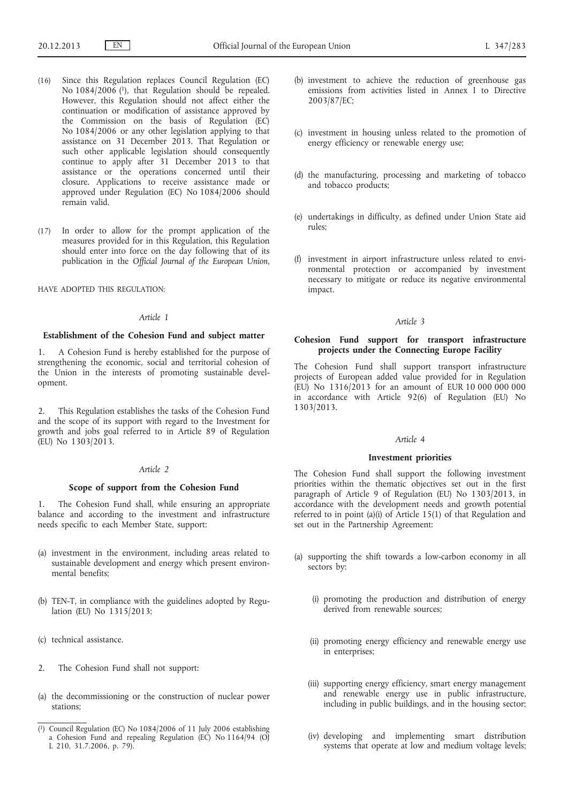- (16) Since this Regulation replaces Council Regulation (EC) No  $1084/2006$  (1), that Regulation should be repealed. However, this Regulation should not affect either the continuation or modification of assistance approved by the Commission on the basis of Regulation (EC) No 1084/2006 or any other legislation applying to that assistance on 31 December 2013. That Regulation or such other applicable legislation should consequently continue to apply after 31 December 2013 to that assistance or the operations concerned until their closure. Applications to receive assistance made or approved under Regulation (EC) No 1084/2006 should remain valid.
- (17) In order to allow for the prompt application of the measures provided for in this Regulation, this Regulation should enter into force on the day following that of its publication in the *Official Journal of the European Union*,

## HAVE ADOPTED THIS REGULATION:

#### *Article 1*

## **Establishment of the Cohesion Fund and subject matter**

1. A Cohesion Fund is hereby established for the purpose of strengthening the economic, social and territorial cohesion of the Union in the interests of promoting sustainable development.

This Regulation establishes the tasks of the Cohesion Fund and the scope of its support with regard to the Investment for growth and jobs goal referred to in Article 89 of Regulation (EU) No 1303/2013.

# *Article 2*

## **Scope of support from the Cohesion Fund**

1. The Cohesion Fund shall, while ensuring an appropriate balance and according to the investment and infrastructure needs specific to each Member State, support:

- (a) investment in the environment, including areas related to sustainable development and energy which present environmental benefits;
- (b) TEN-T, in compliance with the guidelines adopted by Regulation (EU) No 1315/2013;
- (c) technical assistance.
- 2. The Cohesion Fund shall not support:
- (a) the decommissioning or the construction of nuclear power stations;
- (b) investment to achieve the reduction of greenhouse gas emissions from activities listed in Annex I to Directive 2003/87/EC;
- (c) investment in housing unless related to the promotion of energy efficiency or renewable energy use;
- (d) the manufacturing, processing and marketing of tobacco and tobacco products;
- (e) undertakings in difficulty, as defined under Union State aid rules;
- (f) investment in airport infrastructure unless related to environmental protection or accompanied by investment necessary to mitigate or reduce its negative environmental impact.

## *Article 3*

# **Cohesion Fund support for transport infrastructure projects under the Connecting Europe Facility**

The Cohesion Fund shall support transport infrastructure projects of European added value provided for in Regulation  $(EU)$  No 1316/2013 for an amount of EUR 10 000 000 000 in accordance with Article 92(6) of Regulation (EU) No 1303/2013.

### *Article 4*

## **Investment priorities**

The Cohesion Fund shall support the following investment priorities within the thematic objectives set out in the first paragraph of Article 9 of Regulation (EU) No 1303/2013, in accordance with the development needs and growth potential referred to in point (a)(i) of Article 15(1) of that Regulation and set out in the Partnership Agreement:

- (a) supporting the shift towards a low-carbon economy in all sectors by:
	- (i) promoting the production and distribution of energy derived from renewable sources;
	- (ii) promoting energy efficiency and renewable energy use in enterprises;
	- (iii) supporting energy efficiency, smart energy management and renewable energy use in public infrastructure, including in public buildings, and in the housing sector;
	- (iv) developing and implementing smart distribution systems that operate at low and medium voltage levels;

<sup>(</sup> 1) Council Regulation (EC) No 1084/2006 of 11 July 2006 establishing a Cohesion Fund and repealing Regulation (EC) No 1164/94 (OJ L 210, 31.7.2006, p. 79).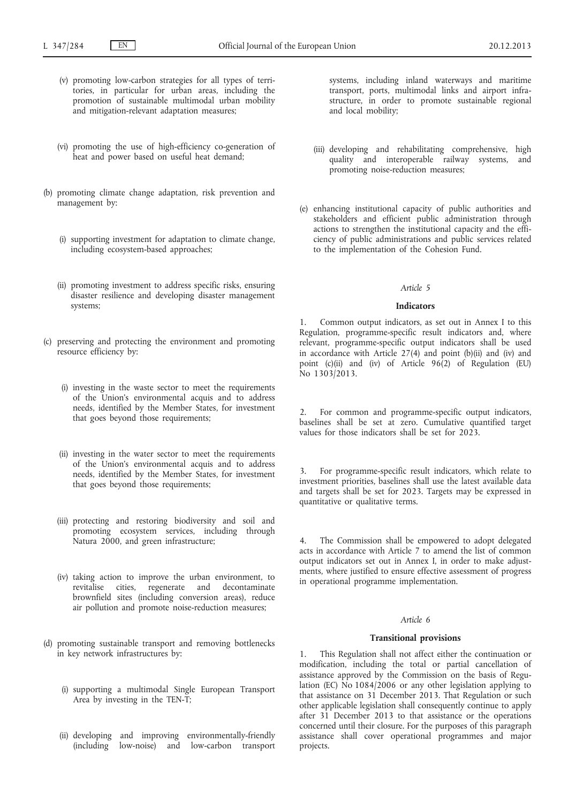- (v) promoting low-carbon strategies for all types of territories, in particular for urban areas, including the promotion of sustainable multimodal urban mobility and mitigation-relevant adaptation measures;
- (vi) promoting the use of high-efficiency co-generation of heat and power based on useful heat demand;
- (b) promoting climate change adaptation, risk prevention and management by:
	- (i) supporting investment for adaptation to climate change, including ecosystem-based approaches;
	- (ii) promoting investment to address specific risks, ensuring disaster resilience and developing disaster management systems;
- (c) preserving and protecting the environment and promoting resource efficiency by:
	- (i) investing in the waste sector to meet the requirements of the Union's environmental acquis and to address needs, identified by the Member States, for investment that goes beyond those requirements;
	- (ii) investing in the water sector to meet the requirements of the Union's environmental acquis and to address needs, identified by the Member States, for investment that goes beyond those requirements;
	- (iii) protecting and restoring biodiversity and soil and promoting ecosystem services, including through Natura 2000, and green infrastructure;
	- (iv) taking action to improve the urban environment, to revitalise cities, regenerate and decontaminate brownfield sites (including conversion areas), reduce air pollution and promote noise-reduction measures;
- (d) promoting sustainable transport and removing bottlenecks in key network infrastructures by:
	- (i) supporting a multimodal Single European Transport Area by investing in the TEN-T;
	- (ii) developing and improving environmentally-friendly (including low-noise) and low-carbon transport

systems, including inland waterways and maritime transport, ports, multimodal links and airport infrastructure, in order to promote sustainable regional and local mobility;

- (iii) developing and rehabilitating comprehensive, high quality and interoperable railway systems, and promoting noise-reduction measures;
- (e) enhancing institutional capacity of public authorities and stakeholders and efficient public administration through actions to strengthen the institutional capacity and the efficiency of public administrations and public services related to the implementation of the Cohesion Fund.

## *Article 5*

#### **Indicators**

1. Common output indicators, as set out in Annex I to this Regulation, programme-specific result indicators and, where relevant, programme-specific output indicators shall be used in accordance with Article 27(4) and point (b)(ii) and (iv) and point  $(c)(ii)$  and  $(iv)$  of Article  $96(2)$  of Regulation (EU) No 1303/2013.

For common and programme-specific output indicators, baselines shall be set at zero. Cumulative quantified target values for those indicators shall be set for 2023.

3. For programme-specific result indicators, which relate to investment priorities, baselines shall use the latest available data and targets shall be set for 2023. Targets may be expressed in quantitative or qualitative terms.

4. The Commission shall be empowered to adopt delegated acts in accordance with Article 7 to amend the list of common output indicators set out in Annex I, in order to make adjustments, where justified to ensure effective assessment of progress in operational programme implementation.

# *Article 6*

### **Transitional provisions**

1. This Regulation shall not affect either the continuation or modification, including the total or partial cancellation of assistance approved by the Commission on the basis of Regulation (EC) No 1084/2006 or any other legislation applying to that assistance on 31 December 2013. That Regulation or such other applicable legislation shall consequently continue to apply after 31 December 2013 to that assistance or the operations concerned until their closure. For the purposes of this paragraph assistance shall cover operational programmes and major projects.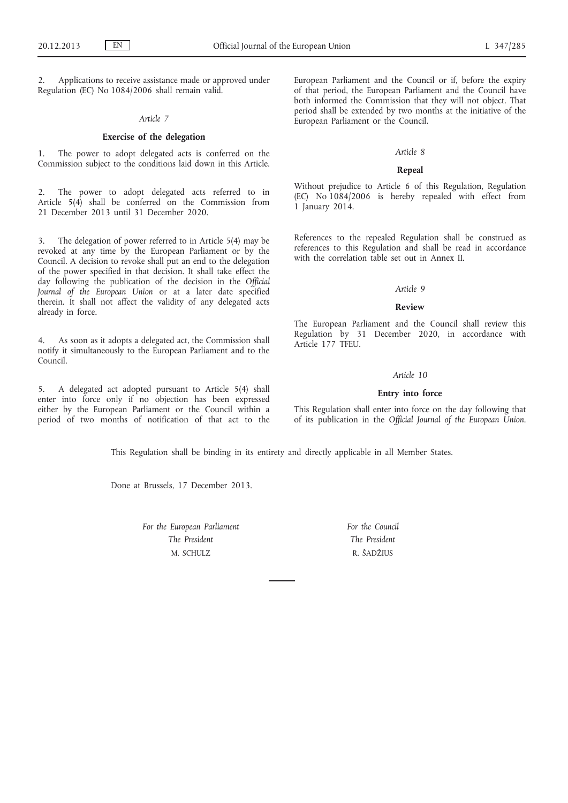Applications to receive assistance made or approved under Regulation (EC) No 1084/2006 shall remain valid.

#### *Article 7*

# **Exercise of the delegation**

1. The power to adopt delegated acts is conferred on the Commission subject to the conditions laid down in this Article.

2. The power to adopt delegated acts referred to in Article 5(4) shall be conferred on the Commission from 21 December 2013 until 31 December 2020.

3. The delegation of power referred to in Article 5(4) may be revoked at any time by the European Parliament or by the Council. A decision to revoke shall put an end to the delegation of the power specified in that decision. It shall take effect the day following the publication of the decision in the *Official Journal of the European Union* or at a later date specified therein. It shall not affect the validity of any delegated acts already in force.

4. As soon as it adopts a delegated act, the Commission shall notify it simultaneously to the European Parliament and to the Council.

5. A delegated act adopted pursuant to Article 5(4) shall enter into force only if no objection has been expressed either by the European Parliament or the Council within a period of two months of notification of that act to the European Parliament and the Council or if, before the expiry of that period, the European Parliament and the Council have both informed the Commission that they will not object. That period shall be extended by two months at the initiative of the European Parliament or the Council.

#### *Article 8*

#### **Repeal**

Without prejudice to Article 6 of this Regulation, Regulation (EC) No 1084/2006 is hereby repealed with effect from 1 January 2014.

References to the repealed Regulation shall be construed as references to this Regulation and shall be read in accordance with the correlation table set out in Annex II.

## *Article 9*

#### **Review**

The European Parliament and the Council shall review this Regulation by 31 December 2020, in accordance with Article 177 TFEU.

### *Article 10*

#### **Entry into force**

This Regulation shall enter into force on the day following that of its publication in the *Official Journal of the European Union*.

This Regulation shall be binding in its entirety and directly applicable in all Member States.

Done at Brussels, 17 December 2013.

*For the European Parliament The President* M. SCHULZ

*For the Council The President* R. ŠADŽIUS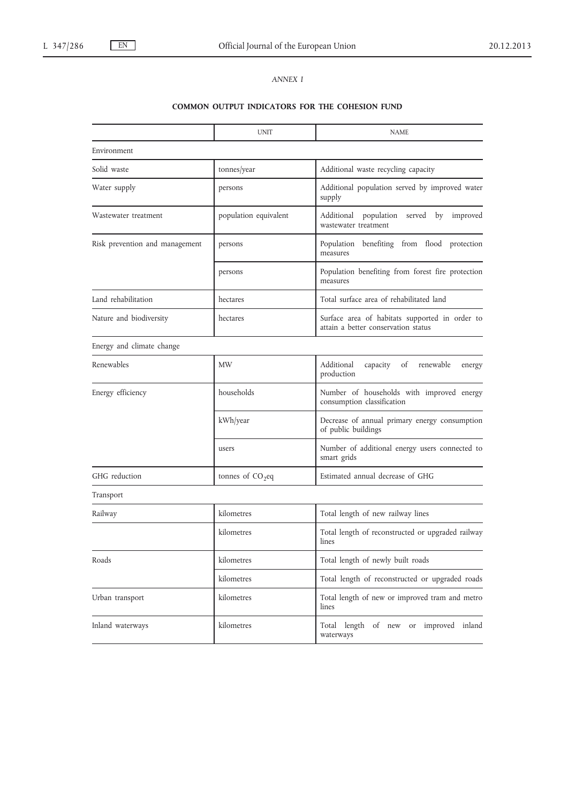# *ANNEX I*

# **COMMON OUTPUT INDICATORS FOR THE COHESION FUND**

|                                | <b>UNIT</b>           | <b>NAME</b>                                                                           |
|--------------------------------|-----------------------|---------------------------------------------------------------------------------------|
| Environment                    |                       |                                                                                       |
| Solid waste                    | tonnes/year           | Additional waste recycling capacity                                                   |
| Water supply                   | persons               | Additional population served by improved water<br>supply                              |
| Wastewater treatment           | population equivalent | population served by<br>Additional<br>improved<br>wastewater treatment                |
| Risk prevention and management | persons               | Population benefiting from flood protection<br>measures                               |
|                                | persons               | Population benefiting from forest fire protection<br>measures                         |
| Land rehabilitation            | hectares              | Total surface area of rehabilitated land                                              |
| Nature and biodiversity        | hectares              | Surface area of habitats supported in order to<br>attain a better conservation status |
| Energy and climate change      |                       |                                                                                       |
| Renewables                     | <b>MW</b>             | Additional<br>capacity<br>of<br>renewable<br>energy<br>production                     |
| Energy efficiency              | households            | Number of households with improved energy<br>consumption classification               |
|                                | kWh/year              | Decrease of annual primary energy consumption<br>of public buildings                  |
|                                | users                 | Number of additional energy users connected to<br>smart grids                         |
| GHG reduction                  | tonnes of $CO2$ eq    | Estimated annual decrease of GHG                                                      |
| Transport                      |                       |                                                                                       |
| Railway                        | kilometres            | Total length of new railway lines                                                     |
|                                | kilometres            | Total length of reconstructed or upgraded railway<br>lines                            |
| Roads                          | kilometres            | Total length of newly built roads                                                     |
|                                | kilometres            | Total length of reconstructed or upgraded roads                                       |
| Urban transport                | kilometres            | Total length of new or improved tram and metro<br>lines                               |
| Inland waterways               | kilometres            | Total length of new or improved inland<br>waterways                                   |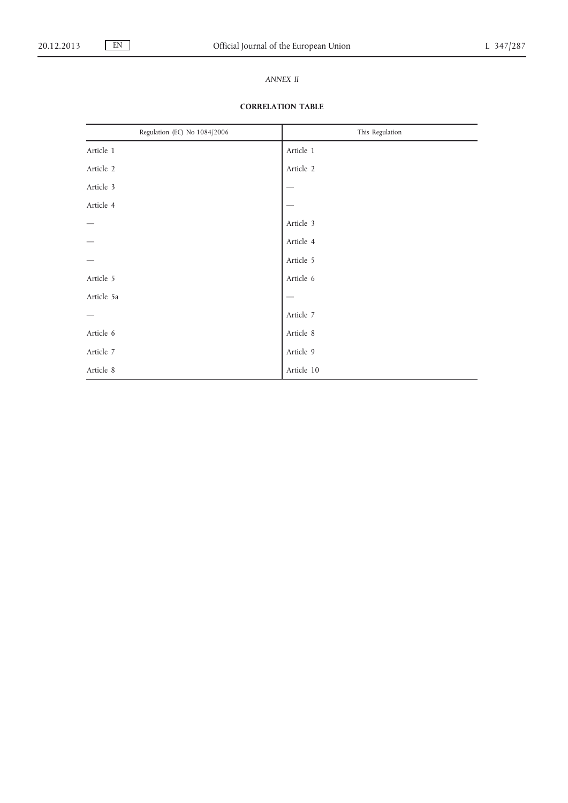# *ANNEX II*

# **CORRELATION TABLE**

| Regulation (EC) No 1084/2006 | This Regulation |
|------------------------------|-----------------|
| Article 1                    | Article 1       |
| Article 2                    | Article 2       |
| Article 3                    |                 |
| Article 4                    |                 |
|                              | Article 3       |
|                              | Article 4       |
|                              | Article 5       |
| Article 5                    | Article 6       |
| Article 5a                   |                 |
|                              | Article 7       |
| Article 6                    | Article 8       |
| Article 7                    | Article 9       |
| Article 8                    | Article 10      |